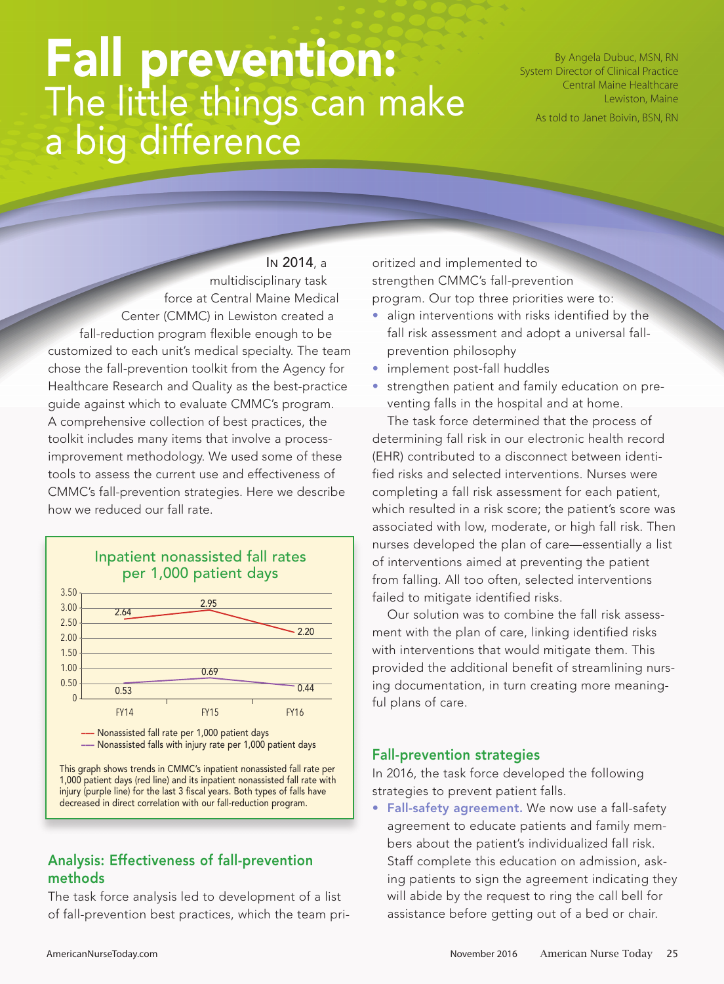# Fall prevention: The little things can make a big difference

By Angela Dubuc, MSN, RN System Director of Clinical Practice Central Maine Healthcare Lewiston, Maine

As told to Janet Boivin, BSN, RN

IN 2014, a multidisciplinary task force at Central Maine Medical Center (CMMC) in Lewiston created a fall-reduction program flexible enough to be customized to each unit's medical specialty. The team chose the fall-prevention toolkit from the Agency for Healthcare Research and Quality as the best-practice guide against which to evaluate CMMC's program. A comprehensive collection of best practices, the toolkit includes many items that involve a processimprovement methodology. We used some of these tools to assess the current use and effectiveness of CMMC's fall-prevention strategies. Here we describe how we reduced our fall rate.



## Analysis: Effectiveness of fall-prevention methods

The task force analysis led to development of a list of fall-prevention best practices, which the team pri-

oritized and implemented to strengthen CMMC's fall-prevention program. Our top three priorities were to:

- align interventions with risks identified by the fall risk assessment and adopt a universal fallprevention philosophy
- implement post-fall huddles
- strengthen patient and family education on preventing falls in the hospital and at home.

The task force determined that the process of determining fall risk in our electronic health record (EHR) contributed to a disconnect between identified risks and selected interventions. Nurses were completing a fall risk assessment for each patient, which resulted in a risk score; the patient's score was associated with low, moderate, or high fall risk. Then nurses developed the plan of care—essentially a list of interventions aimed at preventing the patient from falling. All too often, selected interventions failed to mitigate identified risks.

Our solution was to combine the fall risk assessment with the plan of care, linking identified risks with interventions that would mitigate them. This provided the additional benefit of streamlining nursing documentation, in turn creating more meaningful plans of care.

#### Fall-prevention strategies

In 2016, the task force developed the following strategies to prevent patient falls.

• Fall-safety agreement. We now use a fall-safety agreement to educate patients and family members about the patient's individualized fall risk. Staff complete this education on admission, asking patients to sign the agreement indicating they will abide by the request to ring the call bell for assistance before getting out of a bed or chair.